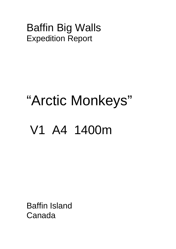# Baffin Big Walls Expedition Report

# "Arctic Monkeys" V1 A4 1400m

Baffin Island Canada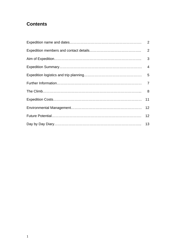# **Contents**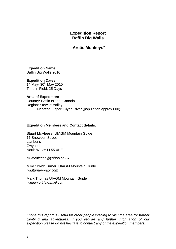# **Expedition Report Baffin Big Walls**

**"Arctic Monkeys"** 

**Expedition Name:**  Baffin Big Walls 2010

**Expedition Dates:**   $1<sup>st</sup>$  May- 30<sup>th</sup> May 2010 Time in Field: 25 Days

**Area of Expedition:**  Country: Baffin Island, Canada Region: Stewart Valley Nearest Outport Clyde River (population approx 600)

# **Expedition Members and Contact details:**

Stuart McAleese, UIAGM Mountain Guide 17 Snowdon Street **Llanberis** Gwynedd North Wales LL55 4HE

*stumcaleese@yahoo.co.uk* 

Mike "Twid" Turner, UIAGM Mountain Guide *twidturner@aol.com* 

Mark Thomas UIAGM Mountain Guide *twmjunior@hotmail.com* 

*I hope this report is useful for other people wishing to visit the area for further climbing and adventures. If you require any further information of our expedition please do not hesitate to contact any of the expedition members.*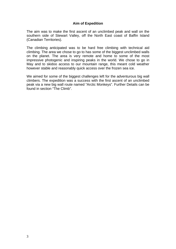# **Aim of Expedition**

The aim was to make the first ascent of an unclimbed peak and wall on the southern side of Stewart Valley, off the North East coast of Baffin Island (Canadian Territories).

The climbing anticipated was to be hard free climbing with technical aid climbing. The area we chose to go to has some of the biggest unclimbed walls on the planet. The area is very remote and home to some of the most impressive photogenic and inspiring peaks in the world. We chose to go in May and to skidoo access to our mountain range, this meant cold weather however stable and reasonably quick access over the frozen sea ice.

We aimed for some of the biggest challenges left for the adventurous big wall climbers. The expedition was a success with the first ascent of an unclimbed peak via a new big wall route named "Arctic Monkeys". Further Details can be found in section "The Climb".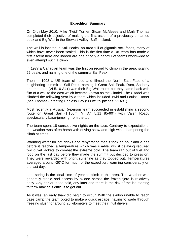# **Expedition Summary**

On 24th May 2010, Mike 'Twid' Turner, Stuart McAleese and Mark Thomas completed their objective of making the first ascent of a previously unnamed peak and Big Wall in the Stewart Valley, Baffin Island.

The wall is located in Sail Peaks, an area full of gigantic rock faces, many of which have never been scaled. This is the first time a UK team has made a first ascent here and indeed are one of only a handful of teams world-wide to even attempt such a climb.

In 1977 a Canadian team was the first on record to climb in the area, scaling 22 peaks and naming one of the summits Sail Peak.

Then in 1998 a US team climbed and filmed the North East Face of a neighboring summit to Sail Peak, naming it Great Sail Peak. Rum, Sodomy and the Lash (VI 5.10 A4+) was their Big Wall route, but they came back with film of a wall to the east which became known as the Citadel. The Citadel was climbed the following year by a team which included Twid and Louise Turner (née Thomas), creating Endless Day (900m: 25 pitches: VI A3+).

Most recently a Russian 5-person team succeeded in establishing a second route on Great Sail (1,150m: VI A4 5.11 85-90°) with Valeri Rozov spectacularly base-jumping from the top.

The team spent 18 consecutive nights on the face. Contrary to expectations, the weather was often harsh with driving snow and high winds hampering the climb at times.

Warming water for hot drinks and rehydrating meals took an hour and a half before it reached a temperature which was usable, whilst belaying required two duvet jackets to combat the extreme cold. The team ran out of fuel and food on the last day before they made the summit but decided to press on. They were rewarded with bright sunshine as they topped out. Temperatures averaged around -20°C for much of the expedition, warming considerably on the last day.

Late spring is the ideal time of year to climb in this area. The weather was generally stable and access by skidoo across the frozen fjord is relatively easy. Any earlier is too cold, any later and there is the risk of the ice starting to thaw making it difficult to get out.

As it was, an early thaw did begin to occur. With the skidoo unable to reach base camp the team opted to make a quick escape, having to wade through freezing slush for around 25 kilometers to meet their Inuit drivers.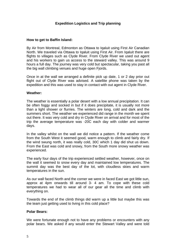# **Expedition Logistics and Trip planning**

#### **How to get to Baffin Island:**

By Air from Montreal, Edmonton as Ottawa to Iqaluit using First Air Canadian North. We traveled via Ottawa to Iqaluit using First Air. From Iqaluit there are flights to villages such as Clyde River. From Clyde River we used out agent and his workers to gain us access to the steward valley. This was around 9 hours a full day. The journey was very cold but spectacular, taking you past all the big wall climbing venues and huge open Fjords.

Once in at the wall we arranged a definite pick up date, 1 or 2 day prior out flight out of Clyde River was advised. A satellite phone was taken by the expedition and this was used to stay in contact with out agent in Clyde River.

#### **Weather:**

The weather is essentially a polar desert with a low annual precipitation. It can be often foggy and socked in but if it does precipitate, it is usually not more than a light shower or flurries. The winters are long, cold and dark and the summers short. The weather we experienced did range in the month we spent out there. It was very cold and dry in Clyde River on arrival and for most of the trip the average temperature was -20C each day with colder and warmer days.

In the valley whilst on the wall we did notice a pattern. If the weather come from the South West it seemed good, warm enough to climb and fairly dry. If the wind swung north, it was really cold, 30C which 1 day did shut us down. From the East was cold and snowy, from the South more snowy weather was experienced.

The early four days of the trip experienced settled weather, however, once on the wall it seemed to snow every day and maintained low temperatures. The summit day was the best day of the lot, with cloudless skies and warm temperatures in the sun.

As our wall faced North and the corner we were in faced East we got little sun, approx at 4pm onwards till around 3- 4 am. To cope with these cold temperatures we had to wear all of our gear all the time and climb with everything on.

Towards the end of the climb things did warm up a little but maybe this was the team just getting used to living in this cold place?

#### **Polar Bears:**

We were fortunate enough not to have any problems or encounters with any polar bears. We asked if any would enter the Stewart Valley and were told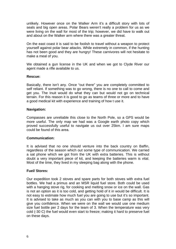unlikely. However once on the Walker Arm it's a difficult story with lots of seals and big open areas. Polar Bears weren't really a problem for us as we were living on the wall for most of the trip; however, we did have to walk out and about on the Walker arm where there was a greater threat.

On the east coast it is said to be foolish to travel without a weapon to protect yourself against polar bear attacks. While extremely in common, if the hunting has not been good and they are hungry! These carnivores will not hesitate to make a meal of you.

We obtained a gun license in the UK and when we got to Clyde River our agent made a rifle available to us.

#### **Rescue:**

Basically, there isn't any. Once "out there" you are completely committed to self reliant. If something was to go wrong, there is no one to call to come and get you. The Inuit would do what they can but would not go on technical terrain. For this reason it is good to go as teams of three or more and to have a good medical kit with experience and training of how t use it.

#### **Navigation:**

Compasses are unreliable this close to the North Pole, so a GPS would be more useful. The only map we had was a Google earth photo copy which proved successfully useful to navigate us out over 25km. I am sure maps could be found of this area.

# **Communication:**

It is advised that no one should venture into the back country on Baffin, regardless of the season which out some type of communication. We carried a sat phone which we got from the UK with extra batteries. This is without doubt a very important piece of kit, and keeping the batteries warm is vital. Most of the time, they lived in my sleeping bag along with the phone.

# **Fuel/ Stores:**

Our expedition took 2 stoves and spare parts for both stoves with extra fuel bottles. We had a primus and an MSR liquid fuel store. Both could be used with a hanging stove rig, for cooking and melting snow or ice on the wall. Gas is not an option as it is too cold, and getting hold of it in would be difficult. It is not easy to estimate how much fuel you are going to use but it's so important. It is advised to take as much as you can with you to base camp as this will give you confidence. When we were on the wall we would use one medium size fuel bottle per 2 days for the team of 3. When the temperature was very cold (-30 C) the fuel would even start to freeze; making it hard to preserve fuel on these days.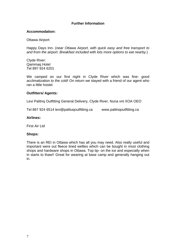# **Further Information**

#### **Accommodation:**

Ottawa Airport:

Happy Days Inn- (*near Ottawa Airport, with quick easy and free transport to and from the airport. Breakfast included with lots more options to eat nearby*.)

Clyde River: Qammaq Hotel Tel 897 924 6201

We camped on our first night in Clyde River which was fine- good acclimatization to the cold! On return we stayed with a friend of our agent who ran a little hostel.

#### **Outfitters/ Agents:**

Levi Palitnq Outfitting General Delivery, Clyde River, Nuna vnt XOA OEO

Tel 867 924 6514 levi@palituqoutfitting.ca www.palitnqoutfitting.ca

#### **Airlines:**

First Air Ltd

#### **Shops:**

There is an REI in Ottawa which has all you may need. Also really useful and important were out fleece lined wellies which can be bought in most clothing shops and hardware shops in Ottawa. Top tip- on the ice and especially when in starts to thaw!! Great for wearing at base camp and generally hanging out in.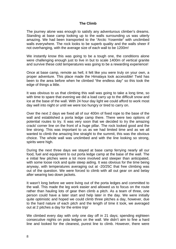# **The Climb**

The journey alone was enough to satisfy any adventurous climber's dreams. Standing at base camp looking up to the walls surrounding us was utterly amazing. We had been transported to the "Arctic Yosemite" with unclimbed walls everywhere. The rock looks to be superb quality and the walls sheer if not overhanging, with the average size of each wall to be 1200m!

We instantly know this was going to be a tough one, the conditions alone were challenging enough just to live in but to scale 1400m of vertical granite and survive these cold temperatures was going to be a rewarding experience!

Once at base camp, remote as hell, it felt like you were truly on your own, a proper adventure. This place made the Himalaya look accessible! Twid has been to the area before when he climbed "the endless day" so this took the edge of things a little.

It was obvious to us that climbing this wall was going to take a long time, so with time to spare that evening we did a load carry up to the difficult snow and ice at the base of the wall. With 24 hour day light we could afford to work most day well into night or until we were too hungry or tired to carry on.

Over the next 2 days we fixed all of our 400m of fixed rope to the base of the wall and established a porta ledge camp there. There were two options of potential routes to try. It was very soon that we decided to try the amazing crack/ corner line on the front of a huge pillar. The rock looked good and the line strong. This was important to us as we had limited time and as we all wanted to climb the amazing line straight to the summit, this was the obvious choice. The whole wall was unclimbed and with the line looking so strong, spirits were high.

During the next three days we stayed at base camp ferrying nearly all our food, fuel and equipment to out porta ledge camp at the base of the wall. The e initial few pitches were a lot more involved and steeper than anticipated, with some loose rock and quite steep aiding. It was obvious for the time being anyway, with temperatures averaging out at -20/25C that free climbing was out of the question. We were forced to climb with all out gear on and belay after wearing two down jackets.

It wasn't long before we were living out of the porta ledges and committed to the wall. This made the leg work easier and allowed us to focus on the route rather than hauling lots of gear then climb a pitch. As a team of three, one person could have a later start and help later in the day. We were initially quite optimistic and hoped we could climb three pitches a day, however, due to the hard nature of each pitch and the length of time it took, we averaged out at 2 pitches a day for the entire trip/

We climbed every day with only one day off in 21 days; spending eighteen consecutive nights on pota ledges on the wall. We didn't aim to fine a hard line and looked for the cleanest, purest line to climb. However, there were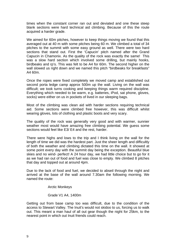times when the constant corner ran out and deviated and one these steep blank sections were hard technical aid climbing. Because of this the route acquired a harder grade.

We aimed for 60m pitches, however to keep things moving we found that this averaged out at 40 m with some pitches being 60 m. We climbed a total of 34 pitches to the summit with some easy ground as well. There were two hard sections that stand out. First the 'Capucin' pitch named after the Grand Capucin in Chamonix. As the quality of the rock was exactly the same! This was a slow hard section which involved some drilling, but mainly hooks, birdbeaks and rp's. This was felt to be A4 for 60m. The second higher on the wall slowed us right down and we named this pitch "birdbeaks for breakfasts"  $A460m$ .

Once the ropes were fixed completely we moved camp and established out second porta ledge camp approx 500m up the wall. Living on the wall was difficult; we took turns cooking and keeping things warm required discipline. Everything which needed to be warm, e.g. batteries, iPod, sat phone, gloves, socks) were either on us in pockets of lived in our sleeping bags.

Most of the climbing was clean aid with harder sections requiring technical aid. Some sections were climbed free however, this was difficult whilst wearing gloves, lots of clothing and plastic boots and very scary.

The quality of the rock was generally very good and with warmer, sunnier weather most would have amazing free climbing potential. We guess some sections would feel like E3/ E4 and the rest, harder.

There were highs and lows to the trip and I think living on the wall for the length of time we did was the hardest part. Just the sheer length and difficultly of both the weather and climbing dictated this time on the wall. It showed at some point every day with the summit day being the exception. Beautiful blue skies and no wind- perfect! A 24 hour day, we had little choice but to go for it as we had ran out of food and fuel was close to empty. We climbed 8 pitches that day and topped out at around 4pm.

Due to the lack of food and fuel, we decided to abseil through the night and arrived at the base of the wall around 7.30am the following morning. We named the route:

Arctic Monkeys

Grade V1 A4, 1400m

Getting out from base camp too was difficult, due to the condition of the access to Stewart Valley. The Inuit's would not skidoo to us, forcing us to walk out. This meant a man haul of all out gear though the night for 25km, to the nearest point in which out Inuit friends could reach.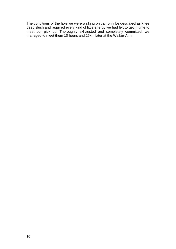The conditions of the lake we were walking on can only be described as knee deep slush and required every kind of little energy we had left to get in time to meet our pick up. Thoroughly exhausted and completely committed, we managed to meet them 10 hours and 25km later at the Walker Arm.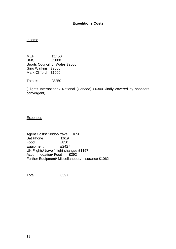# **Expeditions Costs**

#### Income

MEF £1450 BMC £1800 Sports Council for Wales £2000 Gino Watkins £2000 Mark Clifford £1000

 $Total =$  £8250

(Flights International/ National (Canada) £6300 kindly covered by sponsors convergent).

#### **Expenses**

Agent Costs/ Skidoo travel £ 1890 Sat Phone £619 Food £850 Equipment £2427 UK Flights/ travel/ flight changes £1157 Accommodation/Food £392 Further Equipment/ Miscellaneous/ Insurance £1062

Total £8397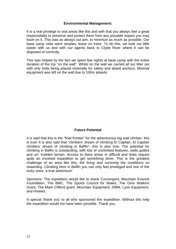## **Environmental Management:**

It is a real privilege to visit areas like this and with that you always feel a great responsibility to preserve and protect them from any possible impact you may have on it. This was as always out aim, to minimize as much as possible. Our base camp rules were simples, leave no trace. To do this, we took out little waste with us and with our agents back to Clyde River where it can be disposed of correctly.

This was helped by the fact we spent few nights at base camp with the entire duration of the trip "on the wall". Whilst on the wall we carried all our litter out with only bolts being placed minimally for safety and abseil anchors. Minimal equipment was left on the wall due to 100m abseils.

# **Future Potential**

It is said that this is the "final frontier" for the adventurous big wall climber- this is true! It is also said that "climbers' dream of climbing El Capitan, El Capitan climbers' dream of climbing in Baffin"- this is also true. The potential for climbing in Baffin is outstanding, with lots of unclimbed features, walls gullies and un- trodden terrain. Access to there areas in difficult and does require quite an involved expedition to get something done. This is the greatest challenge of an area like this, the living and surviving the conditions so rewarding. Climbing here in Baffin you can only feel privileged and one of the lucky ones- a true adventure!

Sponsors: The expedition would like to thank Convergent, Mountain Everest Foundation, The BMC, The Sports Council for Wales, The Gino Watkins Grant, The Mark Clifford grant, Mountain Equipment, DMM, Lyon Equipment, and Howies.

A special 'thank you' to all who sponsored this expedition. Without this help the expedition would not have been possible, Thank you.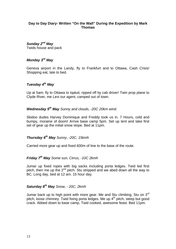# **Day to Day Diary- Written "On the Wall" During the Expedition by Mark Thomas**

# *Sunday 2nd May*

Twids house and pack

# *Monday 3rd May*

Geneva airport in the Landy, fly to Frankfurt and to Ottawa, Cash Crisis! Shopping eat, late to bed.

# *Tuesday 4th May*

Up at 5am; fly to Ottawa to Iqaluit, ripped off by cab driver! Twin prop plane to Clyde River, me Levi our agent, camped out of town.

# *Wednesday 5th May Sunny and clouds, -20C 20km wind.*

Skidoo dudes Harvey Dominique and Freddy took us in. 7 Hours, cold and bumpy, moraine of doom! Arrive base camp 5pm. Set up tent and take first set of gear up the initial snow slope. Bed at 11pm.

# *Thursday 6th May Sunny, -20C, 15kmh*

Carried more gear up and fixed 600m of line to the base of the route.

# *Friday 7th May Some sun, Cirrus, -10C 2kmh*

Jumar up fixed ropes with big sacks including porta ledges. Twid led first pitch, then me up the  $2<sup>nd</sup>$  pitch. Stu stripped and we abed down all the way to BC. Long day, bed at 12 am. 15 hour day.

# *Saturday 8th May Snow, - 20C, 2kmh*

Jumar back up to high point with more gear. Me and Stu climbing, Stu on  $3<sup>rd</sup>$ pitch, loose chimney. Twid fixing porta ledges. Me up  $4<sup>th</sup>$  pitch, steep but good crack. Abbed down to base camp, Twid cooked, awesome feast. Bed 11pm.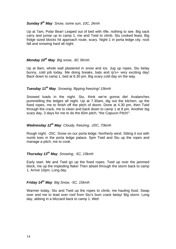# *Sunday 9th May Snow, some sun, 10C, 2kmh*

Up at 7am, Polar Bear! Leaped out of bed with rifle, nothing to see. Big sack carry and jumar up to camp 1, me and Twid to climb. Stu cooked feast, Big fridge sized blocks hit approach route, scary. Night 1 in porta ledge city, rock fall and snowing hard all night.

# *Monday 10th May Big snow, -8C 5Kmh.*

Up at 8am, whole wall plastered in snow and ice. Jug up ropes, Stu belay bunny, cold job today. Me doing breaks, bats and rp's+ very exciting day! Back down to camp 1, bed at 6.30 pm. Big scary cold day on the way.

# *Tuesday 11th May Snowing, flipping freezing! 15kmh*

Snowed loads in the night. Stu, think we're gonna die! Avalanches pummelling the ledges all night. Up at 7.30am, dig out the kitchen, up the fixed ropes, me to finish off the pitch of doom. Done at 4.30 pm, then Twid through the crack, me to clean and back down to camp 1 at 8 pm. Another big scary day, 3 days for me to do the 60m pitch, "the Capucin Pitch!".

# *Wednesday 12th May Cloudy, freezing, -20C, 70kmh*

Rough night. -25C. Snow on our porta ledge. Northerly wind. Sitting it out with numb toes in the porta ledge palace. 5pm Twid and Stu up the ropes and manage a pitch, me to cook.

# *Thursday 13th May Snowing, -5C, 15kmh*

Early start. Me and Twid go up the fixed ropes. Twid up over the jammed block, me up the imploding flake! Then abseil through the storm back to camp 1. Arrive 10pm, Long day.

# *Friday 14th May Big Snow, -5C, 15kmh*

Warmer today, Stu and Twid up the ropes to climb, me hauling food. Swap over and me to lead over roof from Stu's bum crack belay! Big storm. Long day, abbing in a blizzard back to camp 1. Wet!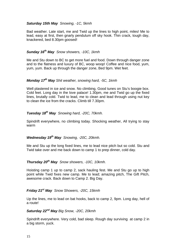# *Saturday 15th May Snowing, -1C, 5kmh*

Bad weather. Late start, me and Twid up the lines to high point, miles! Me to lead, easy at first, then gnarly pendulum off sky hook. Thin crack, tough day, knackered, bed 8.30pm goosed!

# *Sunday 16th May Snow showers, -10C, 1kmh*

Me and Stu down to BC to get more fuel and food. Down through danger zone and to the flatness and luxury of BC, woop woop! Coffee and nice food, yum, yum, yum. Back up through the danger zone, Bed 9pm. Wet feet.

# *Monday 17th May Shit weather, snowing hard, -5C, 1kmh*

Well plastered in ice and snow. No climbing, Good tunes on Stu's boogie box. Cold feet. Long day in the love palace! 1.30pm, me and Twid go up the fixed lines, brutally cold. Twid to lead, me to clean and lead through using nut key to clean the ice from the cracks. Climb till 7.30pm.

# *Tuesday 18th May Snowing hard, -20C, 70kmh.*

Spindrift everywhere, no climbing today. Shocking weather, All trying to stay warm

# *Wednesday 19th May Snowing, -20C, 20kmh.*

Me and Stu up the long fixed lines, me to lead nice pitch but so cold. Stu and Twid take over and me back down to camp 1 to prep dinner, cold day.

# *Thursday 20th May Snow showers, -10C, 10kmh.*

Hoisting camp 1 up to camp 2, sack hauling fest. Me and Stu go up to high point while Twid fixes new camp. Me to lead; amazing pitch, The Gift Pitch, awesome crack. Back down to Camp 2. Big Day.

# *Friday 21st May Snow Showers, -20C, 15kmh*

Up the lines, me to lead on bat hooks, back to camp 2, 9pm. Long day, hell of a route!

# *Saturday 22nd May Big Snow, -20C, 20kmh*

Spindrift everywhere. Very cold, bad sleep. Rough day surviving at camp 2 in a big storm, yuck.